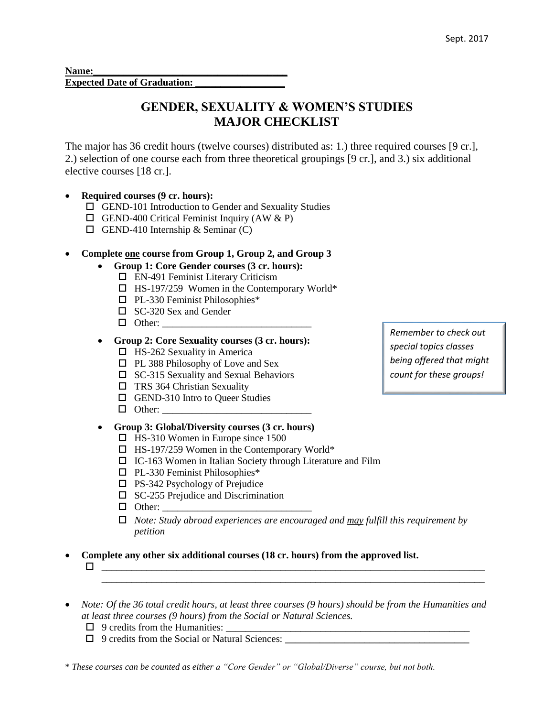Name: **Expected Date of Graduation:** 

# **GENDER, SEXUALITY & WOMEN'S STUDIES MAJOR CHECKLIST**

The major has 36 credit hours (twelve courses) distributed as: 1.) three required courses [9 cr.], 2.) selection of one course each from three theoretical groupings [9 cr.], and 3.) six additional elective courses [18 cr.].

# **Required courses (9 cr. hours):**

- GEND-101 Introduction to Gender and Sexuality Studies
- $\Box$  GEND-400 Critical Feminist Inquiry (AW & P)
- $\Box$  GEND-410 Internship & Seminar (C)

### **Complete one course from Group 1, Group 2, and Group 3**

- **Group 1: Core Gender courses (3 cr. hours):**
	- EN-491 Feminist Literary Criticism
	- $\Box$  HS-197/259 Women in the Contemporary World\*
	- $\n **PL-330**$  Feminist Philosophies\*
	- □ SC-320 Sex and Gender
	- $\Box$  Other:
- **Group 2: Core Sexuality courses (3 cr. hours):**
	- $\Box$  HS-262 Sexuality in America
	- $\Box$  PL 388 Philosophy of Love and Sex
	- $\square$  SC-315 Sexuality and Sexual Behaviors
	- $\Box$  TRS 364 Christian Sexuality
	- □ GEND-310 Intro to Queer Studies
	- $\Box$  Other:

# **Group 3: Global/Diversity courses (3 cr. hours)**

- $\Box$  HS-310 Women in Europe since 1500
- $\Box$  HS-197/259 Women in the Contemporary World\*
- $\Box$  IC-163 Women in Italian Society through Literature and Film
- $\n **PL-330**$  Feminist Philosophies\*
- $\Box$  PS-342 Psychology of Prejudice
- $\square$  SC-255 Prejudice and Discrimination
- $\Box$  Other:
- *Note: Study abroad experiences are encouraged and may fulfill this requirement by petition*

**\_\_\_\_\_\_\_\_\_\_\_\_\_\_\_\_\_\_\_\_\_\_\_\_\_\_\_\_\_\_\_\_\_\_\_\_\_\_\_\_\_\_\_\_\_\_\_\_\_\_\_\_\_\_\_\_\_\_\_\_\_\_\_\_\_\_\_\_\_\_\_\_\_\_\_\_\_**

**Complete any other six additional courses (18 cr. hours) from the approved list.** 

- **\_\_\_\_\_\_\_\_\_\_\_\_\_\_\_\_\_\_\_\_\_\_\_\_\_\_\_\_\_\_\_\_\_\_\_\_\_\_\_\_\_\_\_\_\_\_\_\_\_\_\_\_\_\_\_\_\_\_\_\_\_\_\_\_\_\_\_\_\_\_\_\_\_\_\_\_\_**
- *Note: Of the 36 total credit hours, at least three courses (9 hours) should be from the Humanities and at least three courses (9 hours) from the Social or Natural Sciences.* 
	- $\Box$  9 credits from the Humanities:
	- 9 credits from the Social or Natural Sciences: **\_\_\_\_\_\_\_\_\_\_\_\_\_\_\_\_\_\_\_\_\_\_\_\_\_\_\_\_\_\_\_\_\_\_\_\_\_**

\* *These courses can be counted as either a "Core Gender" or "Global/Diverse" course, but not both.*

*Remember to check out special topics classes being offered that might count for these groups!*